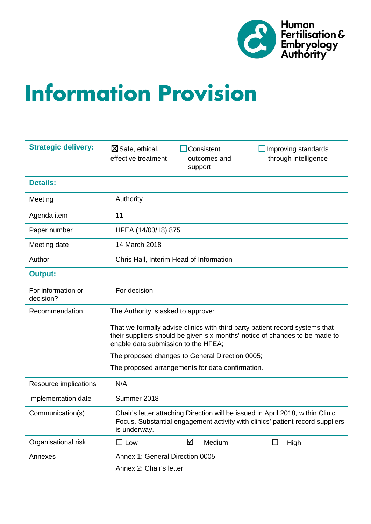

# **Information Provision**

| <b>Strategic delivery:</b>      | $\boxtimes$ Safe, ethical,<br>effective treatment                                                                                                                                                  |   | Consistent<br>outcomes and<br>support |        | Improving standards<br>through intelligence |
|---------------------------------|----------------------------------------------------------------------------------------------------------------------------------------------------------------------------------------------------|---|---------------------------------------|--------|---------------------------------------------|
| <b>Details:</b>                 |                                                                                                                                                                                                    |   |                                       |        |                                             |
| Meeting                         | Authority                                                                                                                                                                                          |   |                                       |        |                                             |
| Agenda item                     | 11                                                                                                                                                                                                 |   |                                       |        |                                             |
| Paper number                    | HFEA (14/03/18) 875                                                                                                                                                                                |   |                                       |        |                                             |
| Meeting date                    | 14 March 2018                                                                                                                                                                                      |   |                                       |        |                                             |
| Author                          | Chris Hall, Interim Head of Information                                                                                                                                                            |   |                                       |        |                                             |
| <b>Output:</b>                  |                                                                                                                                                                                                    |   |                                       |        |                                             |
| For information or<br>decision? | For decision                                                                                                                                                                                       |   |                                       |        |                                             |
| Recommendation                  | The Authority is asked to approve:                                                                                                                                                                 |   |                                       |        |                                             |
|                                 | That we formally advise clinics with third party patient record systems that<br>their suppliers should be given six-months' notice of changes to be made to<br>enable data submission to the HFEA; |   |                                       |        |                                             |
|                                 | The proposed changes to General Direction 0005;                                                                                                                                                    |   |                                       |        |                                             |
|                                 | The proposed arrangements for data confirmation.                                                                                                                                                   |   |                                       |        |                                             |
| Resource implications           | N/A                                                                                                                                                                                                |   |                                       |        |                                             |
| Implementation date             | Summer 2018                                                                                                                                                                                        |   |                                       |        |                                             |
| Communication(s)                | Chair's letter attaching Direction will be issued in April 2018, within Clinic<br>Focus. Substantial engagement activity with clinics' patient record suppliers<br>is underway.                    |   |                                       |        |                                             |
| Organisational risk             | $\Box$ Low                                                                                                                                                                                         | ☑ | Medium                                | $\Box$ | High                                        |
| Annexes                         | Annex 1: General Direction 0005                                                                                                                                                                    |   |                                       |        |                                             |
|                                 | Annex 2: Chair's letter                                                                                                                                                                            |   |                                       |        |                                             |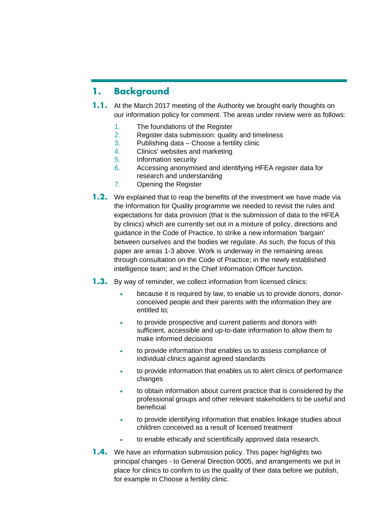## **1. Background**

- **1.1.** At the March 2017 meeting of the Authority we brought early thoughts on our information policy for comment. The areas under review were as follows:
	- 1. The foundations of the Register
	- 2. Register data submission: quality and timeliness
	- 3. Publishing data Choose a fertility clinic
	- 4. Clinics' websites and marketing
	- 5. Information security
	- 6. Accessing anonymised and identifying HFEA register data for research and understanding
	- 7. Opening the Register
- **1.2.** We explained that to reap the benefits of the investment we have made via the Information for Quality programme we needed to revisit the rules and expectations for data provision (that is the submission of data to the HFEA by clinics) which are currently set out in a mixture of policy, directions and guidance in the Code of Practice, to strike a new information 'bargain' between ourselves and the bodies we regulate. As such, the focus of this paper are areas 1-3 above. Work is underway in the remaining areas through consultation on the Code of Practice; in the newly established intelligence team; and in the Chief Information Officer function.
- **1.3.** By way of reminder, we collect information from licensed clinics:
	- because it is required by law, to enable us to provide donors, donorconceived people and their parents with the information they are entitled to;
	- to provide prospective and current patients and donors with sufficient, accessible and up-to-date information to allow them to make informed decisions
	- to provide information that enables us to assess compliance of individual clinics against agreed standards
	- to provide information that enables us to alert clinics of performance changes
	- to obtain information about current practice that is considered by the professional groups and other relevant stakeholders to be useful and beneficial
	- to provide identifying information that enables linkage studies about children conceived as a result of licensed treatment
	- to enable ethically and scientifically approved data research.
- **1.4.** We have an information submission policy. This paper highlights two principal changes - to General Direction 0005, and arrangements we put in place for clinics to confirm to us the quality of their data before we publish, for example in Choose a fertility clinic.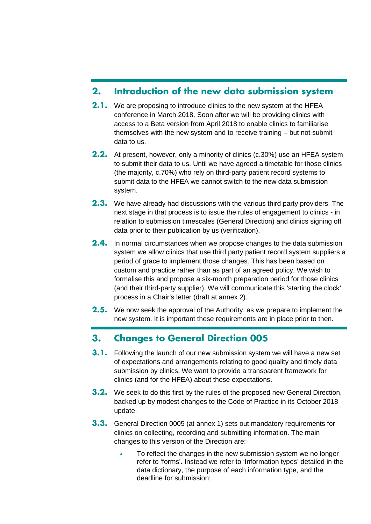## **2. Introduction of the new data submission system**

- **2.1.** We are proposing to introduce clinics to the new system at the HFEA conference in March 2018. Soon after we will be providing clinics with access to a Beta version from April 2018 to enable clinics to familiarise themselves with the new system and to receive training – but not submit data to us.
- **2.2.** At present, however, only a minority of clinics (c.30%) use an HFEA system to submit their data to us. Until we have agreed a timetable for those clinics (the majority, c.70%) who rely on third-party patient record systems to submit data to the HFEA we cannot switch to the new data submission system.
- **2.3.** We have already had discussions with the various third party providers. The next stage in that process is to issue the rules of engagement to clinics - in relation to submission timescales (General Direction) and clinics signing off data prior to their publication by us (verification).
- **2.4.** In normal circumstances when we propose changes to the data submission system we allow clinics that use third party patient record system suppliers a period of grace to implement those changes. This has been based on custom and practice rather than as part of an agreed policy. We wish to formalise this and propose a six-month preparation period for those clinics (and their third-party supplier). We will communicate this 'starting the clock' process in a Chair's letter (draft at annex 2).
- **2.5.** We now seek the approval of the Authority, as we prepare to implement the new system. It is important these requirements are in place prior to then.

## **3. Changes to General Direction 005**

- **3.1.** Following the launch of our new submission system we will have a new set of expectations and arrangements relating to good quality and timely data submission by clinics. We want to provide a transparent framework for clinics (and for the HFEA) about those expectations.
- **3.2.** We seek to do this first by the rules of the proposed new General Direction, backed up by modest changes to the Code of Practice in its October 2018 update.
- **3.3.** General Direction 0005 (at annex 1) sets out mandatory requirements for clinics on collecting, recording and submitting information. The main changes to this version of the Direction are:
	- To reflect the changes in the new submission system we no longer refer to 'forms'. Instead we refer to 'Information types' detailed in the data dictionary, the purpose of each information type, and the deadline for submission;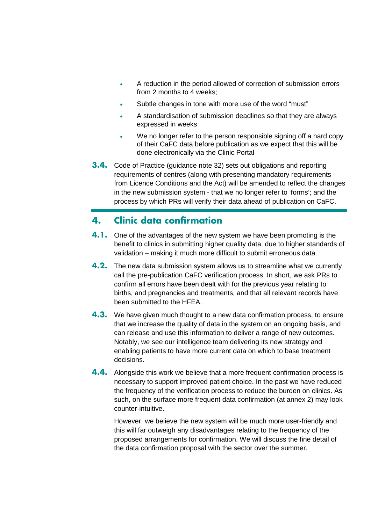- A reduction in the period allowed of correction of submission errors from 2 months to 4 weeks;
- Subtle changes in tone with more use of the word "must"
- A standardisation of submission deadlines so that they are always expressed in weeks
- We no longer refer to the person responsible signing off a hard copy of their CaFC data before publication as we expect that this will be done electronically via the Clinic Portal
- **3.4.** Code of Practice (guidance note 32) sets out obligations and reporting requirements of centres (along with presenting mandatory requirements from Licence Conditions and the Act) will be amended to reflect the changes in the new submission system - that we no longer refer to 'forms'; and the process by which PRs will verify their data ahead of publication on CaFC.

## **4. Clinic data confirmation**

- **4.1.** One of the advantages of the new system we have been promoting is the benefit to clinics in submitting higher quality data, due to higher standards of validation – making it much more difficult to submit erroneous data.
- **4.2.** The new data submission system allows us to streamline what we currently call the pre-publication CaFC verification process. In short, we ask PRs to confirm all errors have been dealt with for the previous year relating to births, and pregnancies and treatments, and that all relevant records have been submitted to the HFEA.
- **4.3.** We have given much thought to a new data confirmation process, to ensure that we increase the quality of data in the system on an ongoing basis, and can release and use this information to deliver a range of new outcomes. Notably, we see our intelligence team delivering its new strategy and enabling patients to have more current data on which to base treatment decisions.
- **4.4.** Alongside this work we believe that a more frequent confirmation process is necessary to support improved patient choice. In the past we have reduced the frequency of the verification process to reduce the burden on clinics. As such, on the surface more frequent data confirmation (at annex 2) may look counter-intuitive.

However, we believe the new system will be much more user-friendly and this will far outweigh any disadvantages relating to the frequency of the proposed arrangements for confirmation. We will discuss the fine detail of the data confirmation proposal with the sector over the summer.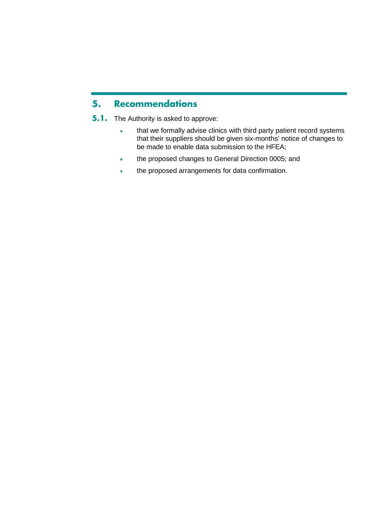## **5. Recommendations**

- **5.1.** The Authority is asked to approve:
	- that we formally advise clinics with third party patient record systems that their suppliers should be given six-months' notice of changes to be made to enable data submission to the HFEA;
	- the proposed changes to General Direction 0005; and
	- the proposed arrangements for data confirmation.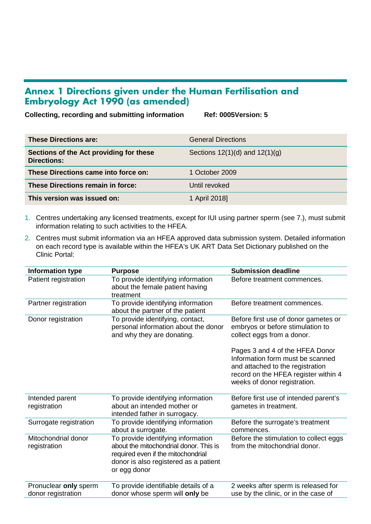## **Annex 1 Directions given under the Human Fertilisation and Embryology Act 1990 (as amended)**

**Collecting, recording and submitting information Ref: 0005Version: 5**

| <b>These Directions are:</b>                           | <b>General Directions</b>          |
|--------------------------------------------------------|------------------------------------|
| Sections of the Act providing for these<br>Directions: | Sections $12(1)(d)$ and $12(1)(g)$ |
| These Directions came into force on:                   | 1 October 2009                     |
| These Directions remain in force:                      | Until revoked                      |
| This version was issued on:                            | 1 April 2018]                      |

- 1. Centres undertaking any licensed treatments, except for IUI using partner sperm (see 7.), must submit information relating to such activities to the HFEA.
- 2. Centres must submit information via an HFEA approved data submission system. Detailed information on each record type is available within the HFEA's UK ART Data Set Dictionary published on the Clinic Portal:

| Information type                            | <b>Purpose</b>                                                                                                                                                              | <b>Submission deadline</b>                                                                                                                                                      |
|---------------------------------------------|-----------------------------------------------------------------------------------------------------------------------------------------------------------------------------|---------------------------------------------------------------------------------------------------------------------------------------------------------------------------------|
| Patient registration                        | To provide identifying information<br>about the female patient having<br>treatment                                                                                          | Before treatment commences.                                                                                                                                                     |
| Partner registration                        | To provide identifying information<br>about the partner of the patient                                                                                                      | Before treatment commences.                                                                                                                                                     |
| Donor registration                          | To provide identifying, contact,<br>personal information about the donor<br>and why they are donating.                                                                      | Before first use of donor gametes or<br>embryos or before stimulation to<br>collect eggs from a donor.                                                                          |
|                                             |                                                                                                                                                                             | Pages 3 and 4 of the HFEA Donor<br>Information form must be scanned<br>and attached to the registration<br>record on the HFEA register within 4<br>weeks of donor registration. |
| Intended parent<br>registration             | To provide identifying information<br>about an intended mother or<br>intended father in surrogacy.                                                                          | Before first use of intended parent's<br>gametes in treatment.                                                                                                                  |
| Surrogate registration                      | To provide identifying information<br>about a surrogate.                                                                                                                    | Before the surrogate's treatment<br>commences.                                                                                                                                  |
| Mitochondrial donor<br>registration         | To provide identifying information<br>about the mitochondrial donor. This is<br>required even if the mitochondrial<br>donor is also registered as a patient<br>or egg donor | Before the stimulation to collect eggs<br>from the mitochondrial donor.                                                                                                         |
| Pronuclear only sperm<br>donor registration | To provide identifiable details of a<br>donor whose sperm will only be                                                                                                      | 2 weeks after sperm is released for<br>use by the clinic, or in the case of                                                                                                     |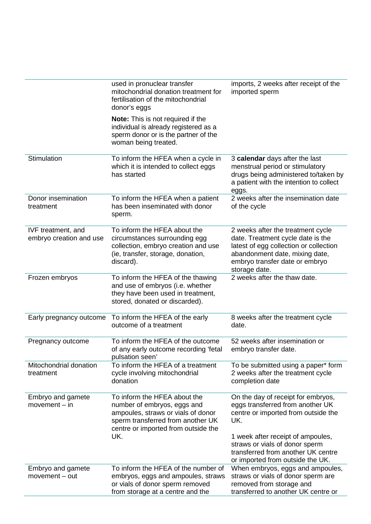|                                               | used in pronuclear transfer<br>mitochondrial donation treatment for<br>fertilisation of the mitochondrial<br>donor's eggs<br><b>Note:</b> This is not required if the<br>individual is already registered as a<br>sperm donor or is the partner of the<br>woman being treated. | imports, 2 weeks after receipt of the<br>imported sperm                                                                                                                                                                                                               |
|-----------------------------------------------|--------------------------------------------------------------------------------------------------------------------------------------------------------------------------------------------------------------------------------------------------------------------------------|-----------------------------------------------------------------------------------------------------------------------------------------------------------------------------------------------------------------------------------------------------------------------|
| Stimulation                                   | To inform the HFEA when a cycle in<br>which it is intended to collect eggs<br>has started                                                                                                                                                                                      | 3 calendar days after the last<br>menstrual period or stimulatory<br>drugs being administered to/taken by<br>a patient with the intention to collect<br>eggs.                                                                                                         |
| Donor insemination<br>treatment               | To inform the HFEA when a patient<br>has been inseminated with donor<br>sperm.                                                                                                                                                                                                 | 2 weeks after the insemination date<br>of the cycle                                                                                                                                                                                                                   |
| IVF treatment, and<br>embryo creation and use | To inform the HFEA about the<br>circumstances surrounding egg<br>collection, embryo creation and use<br>(ie, transfer, storage, donation,<br>discard).                                                                                                                         | 2 weeks after the treatment cycle<br>date. Treatment cycle date is the<br>latest of egg collection or collection<br>abandonment date, mixing date,<br>embryo transfer date or embryo<br>storage date.                                                                 |
| Frozen embryos                                | To inform the HFEA of the thawing<br>and use of embryos (i.e. whether<br>they have been used in treatment,<br>stored, donated or discarded).                                                                                                                                   | 2 weeks after the thaw date.                                                                                                                                                                                                                                          |
| Early pregnancy outcome                       | To inform the HFEA of the early<br>outcome of a treatment                                                                                                                                                                                                                      | 8 weeks after the treatment cycle<br>date.                                                                                                                                                                                                                            |
| Pregnancy outcome                             | To inform the HFEA of the outcome<br>of any early outcome recording 'fetal<br>pulsation seen'                                                                                                                                                                                  | 52 weeks after insemination or<br>embryo transfer date.                                                                                                                                                                                                               |
| Mitochondrial donation<br>treatment           | To inform the HFEA of a treatment<br>cycle involving mitochondrial<br>donation                                                                                                                                                                                                 | To be submitted using a paper* form<br>2 weeks after the treatment cycle<br>completion date                                                                                                                                                                           |
| Embryo and gamete<br>$ movement - in$         | To inform the HFEA about the<br>number of embryos, eggs and<br>ampoules, straws or vials of donor<br>sperm transferred from another UK<br>centre or imported from outside the<br>UK.                                                                                           | On the day of receipt for embryos,<br>eggs transferred from another UK<br>centre or imported from outside the<br>UK.<br>1 week after receipt of ampoules,<br>straws or vials of donor sperm<br>transferred from another UK centre<br>or imported from outside the UK. |
| Embryo and gamete<br>$ movement - out$        | To inform the HFEA of the number of<br>embryos, eggs and ampoules, straws<br>or vials of donor sperm removed<br>from storage at a centre and the                                                                                                                               | When embryos, eggs and ampoules,<br>straws or vials of donor sperm are<br>removed from storage and<br>transferred to another UK centre or                                                                                                                             |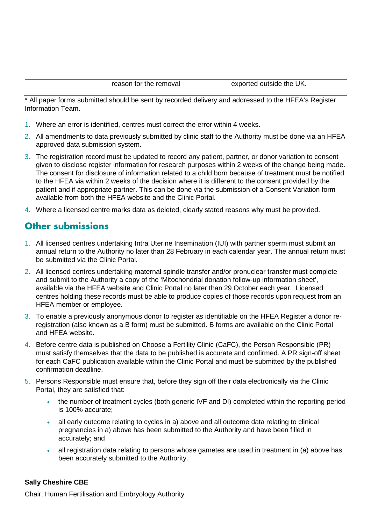\* All paper forms submitted should be sent by recorded delivery and addressed to the HFEA's Register Information Team.

- 1. Where an error is identified, centres must correct the error within 4 weeks.
- 2. All amendments to data previously submitted by clinic staff to the Authority must be done via an HFEA approved data submission system.
- 3. The registration record must be updated to record any patient, partner, or donor variation to consent given to disclose register information for research purposes within 2 weeks of the change being made. The consent for disclosure of information related to a child born because of treatment must be notified to the HFEA via within 2 weeks of the decision where it is different to the consent provided by the patient and if appropriate partner. This can be done via the submission of a Consent Variation form available from both the HFEA website and the Clinic Portal.
- 4. Where a licensed centre marks data as deleted, clearly stated reasons why must be provided.

## **Other submissions**

- 1. All licensed centres undertaking Intra Uterine Insemination (IUI) with partner sperm must submit an annual return to the Authority no later than 28 February in each calendar year. The annual return must be submitted via the Clinic Portal.
- 2. All licensed centres undertaking maternal spindle transfer and/or pronuclear transfer must complete and submit to the Authority a copy of the 'Mitochondrial donation follow-up information sheet', available via the HFEA website and Clinic Portal no later than 29 October each year. Licensed centres holding these records must be able to produce copies of those records upon request from an HFEA member or employee.
- 3. To enable a previously anonymous donor to register as identifiable on the HFEA Register a donor reregistration (also known as a B form) must be submitted. B forms are available on the Clinic Portal and HFEA website.
- 4. Before centre data is published on Choose a Fertility Clinic (CaFC), the Person Responsible (PR) must satisfy themselves that the data to be published is accurate and confirmed. A PR sign-off sheet for each CaFC publication available within the Clinic Portal and must be submitted by the published confirmation deadline.
- 5. Persons Responsible must ensure that, before they sign off their data electronically via the Clinic Portal, they are satisfied that:
	- the number of treatment cycles (both generic IVF and DI) completed within the reporting period is 100% accurate;
	- all early outcome relating to cycles in a) above and all outcome data relating to clinical pregnancies in a) above has been submitted to the Authority and have been filled in accurately; and
	- all registration data relating to persons whose gametes are used in treatment in (a) above has been accurately submitted to the Authority.

#### **Sally Cheshire CBE**

Chair, Human Fertilisation and Embryology Authority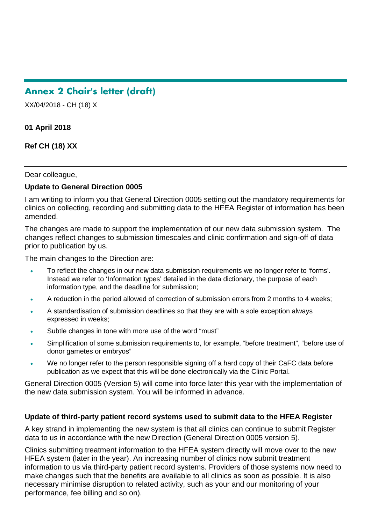# **Annex 2 Chair's letter (draft)**

XX/04/2018 - CH (18) X

#### **01 April 2018**

**Ref CH (18) XX**

#### Dear colleague,

#### **Update to General Direction 0005**

I am writing to inform you that General Direction 0005 setting out the mandatory requirements for clinics on collecting, recording and submitting data to the HFEA Register of information has been amended.

The changes are made to support the implementation of our new data submission system. The changes reflect changes to submission timescales and clinic confirmation and sign-off of data prior to publication by us.

The main changes to the Direction are:

- To reflect the changes in our new data submission requirements we no longer refer to 'forms'. Instead we refer to 'Information types' detailed in the data dictionary, the purpose of each information type, and the deadline for submission;
- A reduction in the period allowed of correction of submission errors from 2 months to 4 weeks;
- A standardisation of submission deadlines so that they are with a sole exception always expressed in weeks;
- Subtle changes in tone with more use of the word "must"
- Simplification of some submission requirements to, for example, "before treatment", "before use of donor gametes or embryos"
- We no longer refer to the person responsible signing off a hard copy of their CaFC data before publication as we expect that this will be done electronically via the Clinic Portal.

General Direction 0005 (Version 5) will come into force later this year with the implementation of the new data submission system. You will be informed in advance.

#### **Update of third-party patient record systems used to submit data to the HFEA Register**

A key strand in implementing the new system is that all clinics can continue to submit Register data to us in accordance with the new Direction (General Direction 0005 version 5).

Clinics submitting treatment information to the HFEA system directly will move over to the new HFEA system (later in the year). An increasing number of clinics now submit treatment information to us via third-party patient record systems. Providers of those systems now need to make changes such that the benefits are available to all clinics as soon as possible. It is also necessary minimise disruption to related activity, such as your and our monitoring of your performance, fee billing and so on).